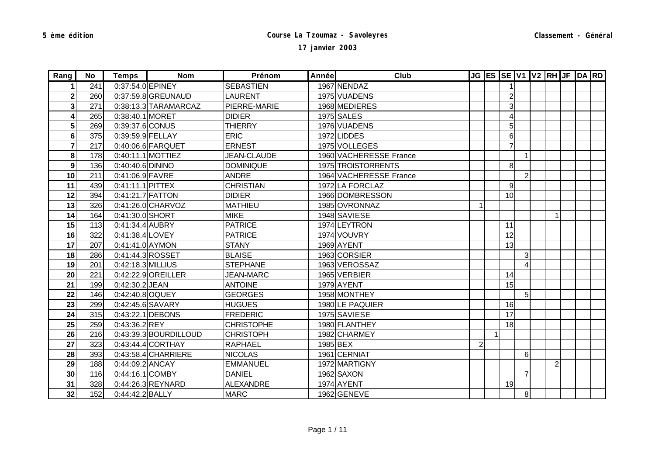| Rang           | No l | Temps             | <b>Nom</b>            | Prénom             | Année | Club                   |                         |   |                |                |                      | JG ES SE V1 V2 RH JF DA RD |  |
|----------------|------|-------------------|-----------------------|--------------------|-------|------------------------|-------------------------|---|----------------|----------------|----------------------|----------------------------|--|
|                | 241  | 0:37:54.0 EPINEY  |                       | <b>SEBASTIEN</b>   |       | 1967 NENDAZ            |                         |   | 1 <sup>1</sup> |                |                      |                            |  |
| $\mathbf{2}$   | 260  |                   | 0:37:59.8 GREUNAUD    | <b>LAURENT</b>     |       | 1975 VUADENS           |                         |   | $\mathbf{2}$   |                |                      |                            |  |
| 3              | 271  |                   | 0:38:13.3 TARAMARCAZ  | PIERRE-MARIE       |       | 1968 MEDIERES          |                         |   | $\overline{3}$ |                |                      |                            |  |
| 4              | 265  | 0:38:40.1 MORET   |                       | <b>DIDIER</b>      |       | 1975 SALES             |                         |   | $\overline{4}$ |                |                      |                            |  |
| 5 <sup>1</sup> | 269  | 0:39:37.6 CONUS   |                       | <b>THIERRY</b>     |       | 1976 VUADENS           |                         |   | 5 <sup>1</sup> |                |                      |                            |  |
| 6              | 375  | 0:39:59.9 FELLAY  |                       | <b>ERIC</b>        |       | 1972 LIDDES            |                         |   | 6              |                |                      |                            |  |
| 7              | 217  |                   | 0:40:06.6 FARQUET     | <b>ERNEST</b>      |       | 1975 VOLLEGES          |                         |   | $\overline{7}$ |                |                      |                            |  |
| 8              | 178  |                   | 0:40:11.1 MOTTIEZ     | <b>JEAN-CLAUDE</b> |       | 1960 VACHERESSE France |                         |   |                | 1              |                      |                            |  |
| 9              | 136  | 0:40:40.6 DININO  |                       | <b>DOMINIQUE</b>   |       | 1975 TROISTORRENTS     |                         |   | 8 <sup>1</sup> |                |                      |                            |  |
| 10             | 211  | 0:41:06.9 FAVRE   |                       | <b>ANDRE</b>       |       | 1964 VACHERESSE France |                         |   |                | $\overline{2}$ |                      |                            |  |
| 11             | 439  | 0:41:11.1 PITTEX  |                       | <b>CHRISTIAN</b>   |       | 1972 LA FORCLAZ        |                         |   | $\overline{9}$ |                |                      |                            |  |
| 12             | 394  | 0:41:21.7 FATTON  |                       | <b>DIDIER</b>      |       | 1966 DOMBRESSON        |                         |   | 10             |                |                      |                            |  |
| 13             | 326  |                   | 0:41:26.0 CHARVOZ     | <b>MATHIEU</b>     |       | 1985 OVRONNAZ          | $\mathbf{1}$            |   |                |                |                      |                            |  |
| 14             | 164  | 0:41:30.0 SHORT   |                       | <b>MIKE</b>        |       | 1948 SAVIESE           |                         |   |                |                | $\blacktriangleleft$ |                            |  |
| 15             | 113  | 0:41:34.4 AUBRY   |                       | <b>PATRICE</b>     |       | 1974 LEYTRON           |                         |   | 11             |                |                      |                            |  |
| 16             | 322  | 0:41:38.4 LOVEY   |                       | <b>PATRICE</b>     |       | 1974 VOUVRY            |                         |   | 12             |                |                      |                            |  |
| 17             | 207  | 0:41:41.0 AYMON   |                       | <b>STANY</b>       |       | 1969 AYENT             |                         |   | 13             |                |                      |                            |  |
| 18             | 286  |                   | 0:41:44.3 ROSSET      | <b>BLAISE</b>      |       | 1963 CORSIER           |                         |   |                | 3              |                      |                            |  |
| 19             | 201  | 0:42:18.3 MILLIUS |                       | <b>STEPHANE</b>    |       | 1963 VEROSSAZ          |                         |   |                | 4              |                      |                            |  |
| 20             | 221  |                   | 0:42:22.9 OREILLER    | <b>JEAN-MARC</b>   |       | 1965 VERBIER           |                         |   | 14             |                |                      |                            |  |
| 21             | 199  | 0:42:30.2 JEAN    |                       | <b>ANTOINE</b>     |       | 1979 AYENT             |                         |   | 15             |                |                      |                            |  |
| 22             | 146  | 0:42:40.8 OQUEY   |                       | <b>GEORGES</b>     |       | 1958 MONTHEY           |                         |   |                | 5              |                      |                            |  |
| 23             | 299  |                   | 0:42:45.6 SAVARY      | <b>HUGUES</b>      |       | 1980LE PAQUIER         |                         |   | 16             |                |                      |                            |  |
| 24             | 315  |                   | 0:43:22.1 DEBONS      | <b>FREDERIC</b>    |       | 1975 SAVIESE           |                         |   | 17             |                |                      |                            |  |
| 25             | 259  | 0:43:36.2 REY     |                       | <b>CHRISTOPHE</b>  |       | 1980 FLANTHEY          |                         |   | 18             |                |                      |                            |  |
| 26             | 216  |                   | 0:43:39.3 BOURDILLOUD | <b>CHRISTOPH</b>   |       | 1982 CHARMEY           |                         | 1 |                |                |                      |                            |  |
| 27             | 323  |                   | 0:43:44.4 CORTHAY     | <b>RAPHAEL</b>     |       | 1985 BEX               | $\overline{\mathbf{c}}$ |   |                |                |                      |                            |  |
| 28             | 393  |                   | $0:43:58.4$ CHARRIERE | <b>NICOLAS</b>     |       | 1961 CERNIAT           |                         |   |                | 6              |                      |                            |  |
| 29             | 188  | 0:44:09.2 ANCAY   |                       | <b>EMMANUEL</b>    |       | 1972 MARTIGNY          |                         |   |                |                | 2 <sup>1</sup>       |                            |  |
| 30             | 116  | 0:44:16.1 COMBY   |                       | <b>DANIEL</b>      |       | 1962 SAXON             |                         |   |                | $\overline{7}$ |                      |                            |  |
| 31             | 328  |                   | 0:44:26.3 REYNARD     | <b>ALEXANDRE</b>   |       | 1974 AYENT             |                         |   | 19             |                |                      |                            |  |
| 32             | 152  | 0:44:42.2 BALLY   |                       | <b>MARC</b>        |       | 1962 GENEVE            |                         |   |                | 8 <sup>1</sup> |                      |                            |  |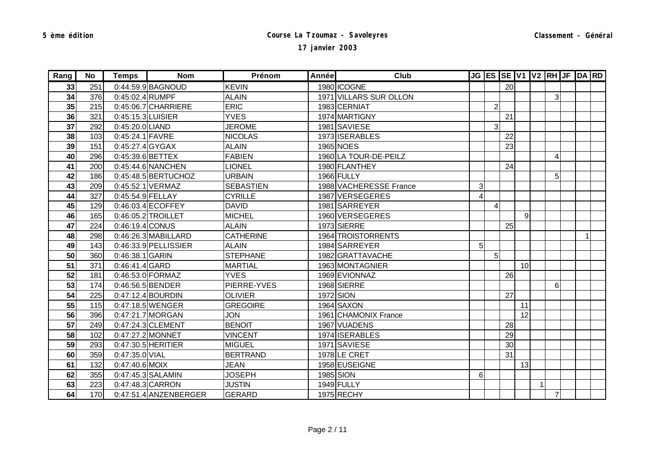| Rang | No  | Temps             | <b>Nom</b>             | Prénom           | Annéel | Club                   |                         |                |    |    |              |                | JG ES SE V1 V2 RH JF DA RD |  |
|------|-----|-------------------|------------------------|------------------|--------|------------------------|-------------------------|----------------|----|----|--------------|----------------|----------------------------|--|
| 33   | 251 |                   | 0:44:59.9 BAGNOUD      | <b>KEVIN</b>     |        | 1980 ICOGNE            |                         |                | 20 |    |              |                |                            |  |
| 34   | 376 | 0:45:02.4 RUMPF   |                        | <b>ALAIN</b>     |        | 1971 VILLARS SUR OLLON |                         |                |    |    |              | $\overline{3}$ |                            |  |
| 35   | 215 |                   | $0:45:06.7$ CHARRIERE  | <b>ERIC</b>      |        | 1983 CERNIAT           |                         | $\overline{2}$ |    |    |              |                |                            |  |
| 36   | 321 | 0:45:15.3 LUISIER |                        | <b>YVES</b>      |        | 1974 MARTIGNY          |                         |                | 21 |    |              |                |                            |  |
| 37   | 292 | 0:45:20.0 LIAND   |                        | <b>JEROME</b>    |        | 1981 SAVIESE           |                         | 3              |    |    |              |                |                            |  |
| 38   | 103 | 0:45:24.1 FAVRE   |                        | <b>NICOLAS</b>   |        | 1973 ISERABLES         |                         |                | 22 |    |              |                |                            |  |
| 39   | 151 | 0:45:27.4 GYGAX   |                        | <b>ALAIN</b>     |        | 1965 NOES              |                         |                | 23 |    |              |                |                            |  |
| 40   | 296 | 0:45:39.6 BETTEX  |                        | <b>FABIEN</b>    |        | 1960 LA TOUR-DE-PEILZ  |                         |                |    |    |              | 4              |                            |  |
| 41   | 200 |                   | 0:45:44.6 NANCHEN      | <b>LIONEL</b>    |        | 1980 FLANTHEY          |                         |                | 24 |    |              |                |                            |  |
| 42   | 186 |                   | 0:45:48.5 BERTUCHOZ    | <b>URBAIN</b>    |        | 1966 FULLY             |                         |                |    |    |              | 5 <sup>1</sup> |                            |  |
| 43   | 209 |                   | 0:45:52.1 VERMAZ       | <b>SEBASTIEN</b> |        | 1988 VACHERESSE France | $\overline{3}$          |                |    |    |              |                |                            |  |
| 44   | 327 | 0:45:54.9 FELLAY  |                        | <b>CYRILLE</b>   |        | 1987 VERSEGERES        | $\overline{\mathbf{r}}$ |                |    |    |              |                |                            |  |
| 45   | 129 |                   | $0:46:03.4$ ECOFFEY    | <b>DAVID</b>     |        | 1981 SARREYER          |                         |                |    |    |              |                |                            |  |
| 46   | 165 |                   | 0:46:05.2 TROILLET     | <b>MICHEL</b>    |        | 1960 VERSEGERES        |                         |                |    | 9  |              |                |                            |  |
| 47   | 224 | 0:46:19.4 CONUS   |                        | <b>ALAIN</b>     |        | 1973 SIERRE            |                         |                | 25 |    |              |                |                            |  |
| 48   | 298 |                   | $0:46:26.3$ MABILLARD  | <b>CATHERINE</b> |        | 1964 TROISTORRENTS     |                         |                |    |    |              |                | $\overline{1}$             |  |
| 49   | 143 |                   | $0:46:33.9$ PELLISSIER | <b>ALAIN</b>     |        | 1984 SARREYER          | 5                       |                |    |    |              |                |                            |  |
| 50   | 360 | 0:46:38.1 GARIN   |                        | <b>STEPHANE</b>  |        | 1982 GRATTAVACHE       |                         | 5 <sub>l</sub> |    |    |              |                |                            |  |
| 51   | 371 | 0:46:41.4 GARD    |                        | <b>MARTIAL</b>   |        | 1963 MONTAGNIER        |                         |                |    | 10 |              |                |                            |  |
| 52   | 181 |                   | 0:46:53.0 FORMAZ       | <b>YVES</b>      |        | 1969 EVIONNAZ          |                         |                | 26 |    |              |                |                            |  |
| 53   | 174 |                   | 0:46:56.5 BENDER       | PIERRE-YVES      |        | 1968 SIERRE            |                         |                |    |    |              | 6              |                            |  |
| 54   | 225 |                   | 0:47:12.4 BOURDIN      | <b>OLIVIER</b>   |        | 1972 SION              |                         |                | 27 |    |              |                |                            |  |
| 55   | 115 |                   | 0:47:18.5 WENGER       | <b>GREGOIRE</b>  |        | 1964 SAXON             |                         |                |    | 11 |              |                |                            |  |
| 56   | 396 |                   | 0:47:21.7 MORGAN       | <b>JON</b>       |        | 1961 CHAMONIX France   |                         |                |    | 12 |              |                |                            |  |
| 57   | 249 |                   | 0:47:24.3 CLEMENT      | <b>BENOIT</b>    |        | 1967 VUADENS           |                         |                | 28 |    |              |                |                            |  |
| 58   | 102 |                   | 0:47:27.2 MONNET       | <b>VINCENT</b>   |        | 1974 ISERABLES         |                         |                | 29 |    |              |                |                            |  |
| 59   | 293 |                   | 0:47:30.5 HERITIER     | <b>MIGUEL</b>    |        | 1971 SAVIESE           |                         |                | 30 |    |              |                |                            |  |
| 60   | 359 | 0:47:35.0 VIAL    |                        | <b>BERTRAND</b>  |        | 1978LE CRET            |                         |                | 31 |    |              |                |                            |  |
| 61   | 132 | 0:47:40.6 MOIX    |                        | <b>JEAN</b>      |        | 1958 EUSEIGNE          |                         |                |    | 13 |              |                |                            |  |
| 62   | 355 |                   | 0:47:45.3 SALAMIN      | <b>JOSEPH</b>    |        | 1985 SION              | 6                       |                |    |    |              |                |                            |  |
| 63   | 223 |                   | 0:47:48.3 CARRON       | <b>JUSTIN</b>    |        | 1949 FULLY             |                         |                |    |    | $\mathbf{1}$ |                |                            |  |
| 64   | 170 |                   | 0:47:51.4 ANZENBERGER  | <b>GERARD</b>    |        | 1975 RECHY             |                         |                |    |    |              | $\overline{7}$ |                            |  |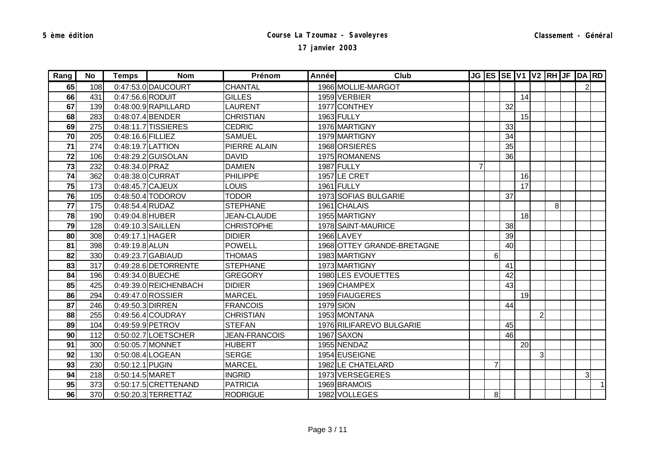| Rang | No  | Temps             | <b>Nom</b>            | Prénom               | Année | Club                       |                |                |    |    |                |                | JG ES SE V1 V2 RH JF DA RD |              |
|------|-----|-------------------|-----------------------|----------------------|-------|----------------------------|----------------|----------------|----|----|----------------|----------------|----------------------------|--------------|
| 65   | 108 |                   | 0:47:53.0 DAUCOURT    | <b>CHANTAL</b>       |       | 1966 MOLLIE-MARGOT         |                |                |    |    |                |                | $\mathsf{2}$               |              |
| 66   | 431 | 0:47:56.6 RODUIT  |                       | <b>GILLES</b>        |       | 1959 VERBIER               |                |                |    | 14 |                |                |                            |              |
| 67   | 139 |                   | $0:48:00.9$ RAPILLARD | <b>LAURENT</b>       |       | 1977 CONTHEY               |                |                | 32 |    |                |                |                            |              |
| 68   | 283 |                   | 0:48:07.4 BENDER      | <b>CHRISTIAN</b>     |       | 1963 FULLY                 |                |                |    | 15 |                |                |                            |              |
| 69   | 275 |                   | $0:48:11.7$ TISSIERES | <b>CEDRIC</b>        |       | 1976 MARTIGNY              |                |                | 33 |    |                |                |                            |              |
| 70   | 205 | 0:48:16.6 FILLIEZ |                       | <b>SAMUEL</b>        |       | 1979 MARTIGNY              |                |                | 34 |    |                |                |                            |              |
| 71   | 274 |                   | 0:48:19.7 LATTION     | PIERRE ALAIN         |       | 1968 ORSIERES              |                |                | 35 |    |                |                |                            |              |
| 72   | 106 |                   | 0:48:29.2 GUISOLAN    | <b>DAVID</b>         |       | 1975 ROMANENS              |                |                | 36 |    |                |                |                            |              |
| 73   | 232 | 0:48:34.0 PRAZ    |                       | <b>DAMIEN</b>        |       | 1987 FULLY                 | $\overline{7}$ |                |    |    |                |                |                            |              |
| 74   | 362 |                   | 0:48:38.0 CURRAT      | <b>PHILIPPE</b>      |       | 1957 LE CRET               |                |                |    | 16 |                |                |                            |              |
| 75   | 173 | 0:48:45.7 CAJEUX  |                       | <b>LOUIS</b>         |       | 1961 FULLY                 |                |                |    | 17 |                |                |                            |              |
| 76   | 105 |                   | 0:48:50.4 TODOROV     | <b>TODOR</b>         |       | 1973 SOFIAS BULGARIE       |                |                | 37 |    |                |                |                            |              |
| 77   | 175 | 0:48:54.4 RUDAZ   |                       | <b>STEPHANE</b>      |       | 1961 CHALAIS               |                |                |    |    |                | 8 <sup>1</sup> |                            |              |
| 78   | 190 | 0:49:04.8 HUBER   |                       | <b>JEAN-CLAUDE</b>   |       | 1955 MARTIGNY              |                |                |    | 18 |                |                |                            |              |
| 79   | 128 |                   | 0:49:10.3 SAILLEN     | <b>CHRISTOPHE</b>    |       | 1978 SAINT-MAURICE         |                |                | 38 |    |                |                |                            |              |
| 80   | 308 | 0:49:17.1 HAGER   |                       | <b>DIDIER</b>        |       | <b>1966 LAVEY</b>          |                |                | 39 |    |                |                |                            |              |
| 81   | 398 | 0:49:19.8 ALUN    |                       | <b>POWELL</b>        |       | 1968 OTTEY GRANDE-BRETAGNE |                |                | 40 |    |                |                |                            |              |
| 82   | 330 |                   | 0:49:23.7 GABIAUD     | <b>THOMAS</b>        |       | 1983 MARTIGNY              |                | 6              |    |    |                |                |                            |              |
| 83   | 317 |                   | 0:49:28.6 DETORRENTE  | <b>STEPHANE</b>      |       | 1973 MARTIGNY              |                |                | 41 |    |                |                |                            |              |
| 84   | 196 |                   | 0:49:34.0 BUECHE      | <b>GREGORY</b>       |       | 1980 LES EVOUETTES         |                |                | 42 |    |                |                |                            |              |
| 85   | 425 |                   | 0:49:39.0 REICHENBACH | <b>DIDIER</b>        |       | 1969 CHAMPEX               |                |                | 43 |    |                |                |                            |              |
| 86   | 294 |                   | 0:49:47.0 ROSSIER     | <b>MARCEL</b>        |       | 1959 FIAUGERES             |                |                |    | 19 |                |                |                            |              |
| 87   | 246 | 0:49:50.3 DIRREN  |                       | <b>FRANCOIS</b>      |       | 1979 SION                  |                |                | 44 |    |                |                |                            |              |
| 88   | 255 |                   | 0:49:56.4 COUDRAY     | <b>CHRISTIAN</b>     |       | 1953 MONTANA               |                |                |    |    | $\overline{2}$ |                |                            |              |
| 89   | 104 |                   | 0:49:59.9 PETROV      | <b>STEFAN</b>        |       | 1976 RILIFAREVO BULGARIE   |                |                | 45 |    |                |                |                            |              |
| 90   | 112 |                   | 0:50:02.7 LOETSCHER   | <b>JEAN-FRANCOIS</b> |       | 1967 SAXON                 |                |                | 46 |    |                |                |                            |              |
| 91   | 300 |                   | 0:50:05.7 MONNET      | <b>HUBERT</b>        |       | 1955 NENDAZ                |                |                |    | 20 |                |                |                            |              |
| 92   | 130 |                   | 0:50:08.4 LOGEAN      | <b>SERGE</b>         |       | 1954 EUSEIGNE              |                |                |    |    | 3 <sup>l</sup> |                |                            |              |
| 93   | 230 | 0:50:12.1 PUGIN   |                       | <b>MARCEL</b>        |       | 1982 LE CHATELARD          |                | $\overline{7}$ |    |    |                |                |                            |              |
| 94   | 218 | 0:50:14.5 MARET   |                       | <b>INGRID</b>        |       | 1973 VERSEGERES            |                |                |    |    |                |                | 3 <sup>l</sup>             |              |
| 95   | 373 |                   | 0:50:17.5 CRETTENAND  | <b>PATRICIA</b>      |       | 1969 BRAMOIS               |                |                |    |    |                |                |                            | $\mathbf{1}$ |
| 96   | 370 |                   | 0:50:20.3 TERRETTAZ   | <b>RODRIGUE</b>      |       | 1982 VOLLEGES              |                | 8 <sup>1</sup> |    |    |                |                |                            |              |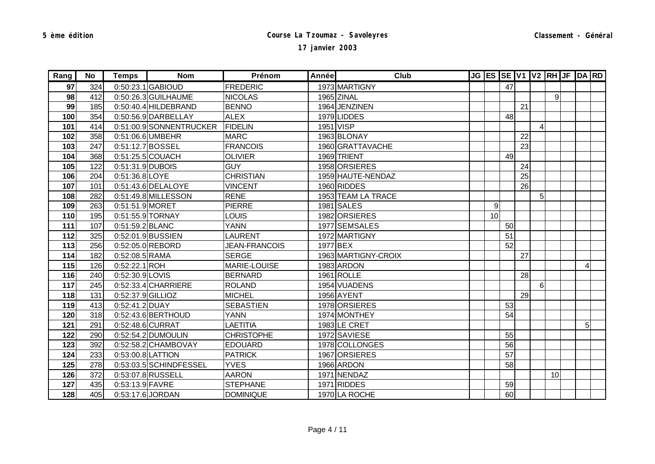| Rang | No  | Temps             | <b>Nom</b>              | Prénom               | Annéel | Club                |    |    |    |                |                | JG ES SE V1 V2 RH JF DA RD |  |
|------|-----|-------------------|-------------------------|----------------------|--------|---------------------|----|----|----|----------------|----------------|----------------------------|--|
| 97   | 324 |                   | 0:50:23.1 GABIOUD       | <b>FREDERIC</b>      |        | 1973 MARTIGNY       |    | 47 |    |                |                |                            |  |
| 98   | 412 |                   | 0:50:26.3 GUILHAUME     | <b>NICOLAS</b>       |        | 1965 ZINAL          |    |    |    |                | $\overline{9}$ |                            |  |
| 99   | 185 |                   | 0:50:40.4 HILDEBRAND    | <b>BENNO</b>         |        | 1964 JENZINEN       |    |    | 21 |                |                |                            |  |
| 100  | 354 |                   | 0:50:56.9 DARBELLAY     | <b>ALEX</b>          |        | 1979 LIDDES         |    | 48 |    |                |                |                            |  |
| 101  | 414 |                   | 0:51:00.9 SONNENTRUCKER | <b>FIDELIN</b>       |        | 1951 VISP           |    |    |    | 4              |                |                            |  |
| 102  | 358 |                   | 0:51:06.6 UMBEHR        | <b>MARC</b>          |        | 1963 BLONAY         |    |    | 22 |                |                |                            |  |
| 103  | 247 |                   | 0:51:12.7 BOSSEL        | <b>FRANCOIS</b>      |        | 1960 GRATTAVACHE    |    |    | 23 |                |                |                            |  |
| 104  | 368 |                   | 0:51:25.5 COUACH        | <b>OLIVIER</b>       |        | 1969 TRIENT         |    | 49 |    |                |                |                            |  |
| 105  | 122 | 0:51:31.9 DUBOIS  |                         | <b>GUY</b>           |        | 1958 ORSIERES       |    |    | 24 |                |                |                            |  |
| 106  | 204 | 0:51:36.8 LOYE    |                         | <b>CHRISTIAN</b>     |        | 1959 HAUTE-NENDAZ   |    |    | 25 |                |                |                            |  |
| 107  | 101 |                   | 0:51:43.6 DELALOYE      | <b>VINCENT</b>       |        | 1960 RIDDES         |    |    | 26 |                |                |                            |  |
| 108  | 282 |                   | 0:51:49.8 MILLESSON     | <b>RENE</b>          |        | 1953 TEAM LA TRACE  |    |    |    | 5 <sup>1</sup> |                |                            |  |
| 109  | 263 | 0:51:51.9 MORET   |                         | <b>PIERRE</b>        |        | 1981 SALES          | 9  |    |    |                |                |                            |  |
| 110  | 195 |                   | 0:51:55.9 TORNAY        | <b>LOUIS</b>         |        | 1982 ORSIERES       | 10 |    |    |                |                |                            |  |
| 111  | 107 | 0:51:59.2 BLANC   |                         | <b>YANN</b>          |        | 1977 SEMSALES       |    | 50 |    |                |                |                            |  |
| 112  | 325 |                   | 0:52:01.9 BUSSIEN       | <b>LAURENT</b>       |        | 1972 MARTIGNY       |    | 51 |    |                |                |                            |  |
| 113  | 256 |                   | 0:52:05.0 REBORD        | <b>JEAN-FRANCOIS</b> |        | 1977 BEX            |    | 52 |    |                |                |                            |  |
| 114  | 182 | 0:52:08.5 RAMA    |                         | <b>SERGE</b>         |        | 1963 MARTIGNY-CROIX |    |    | 27 |                |                |                            |  |
| 115  | 126 | $0:52:22.1$ ROH   |                         | MARIE-LOUISE         |        | 1983 ARDON          |    |    |    |                |                | 4                          |  |
| 116  | 240 | 0:52:30.9 LOVIS   |                         | <b>BERNARD</b>       |        | 1961 ROLLE          |    |    | 28 |                |                |                            |  |
| 117  | 245 |                   | 0:52:33.4 CHARRIERE     | <b>ROLAND</b>        |        | 1954 VUADENS        |    |    |    | 6              |                |                            |  |
| 118  | 131 | 0:52:37.9 GILLIOZ |                         | <b>MICHEL</b>        |        | 1956 AYENT          |    |    | 29 |                |                |                            |  |
| 119  | 413 | 0:52:41.2 DUAY    |                         | <b>SEBASTIEN</b>     |        | 1978 ORSIERES       |    | 53 |    |                |                |                            |  |
| 120  | 318 |                   | 0:52:43.6 BERTHOUD      | <b>YANN</b>          |        | 1974 MONTHEY        |    | 54 |    |                |                |                            |  |
| 121  | 291 |                   | 0:52:48.6 CURRAT        | <b>LAETITIA</b>      |        | 1983 LE CRET        |    |    |    |                |                | 5                          |  |
| 122  | 290 |                   | 0:52:54.2 DUMOULIN      | <b>CHRISTOPHE</b>    |        | 1972 SAVIESE        |    | 55 |    |                |                |                            |  |
| 123  | 392 |                   | 0:52:58.2 CHAMBOVAY     | <b>EDOUARD</b>       |        | 1978 COLLONGES      |    | 56 |    |                |                |                            |  |
| 124  | 233 | 0:53:00.8 LATTION |                         | <b>PATRICK</b>       |        | 1967 ORSIERES       |    | 57 |    |                |                |                            |  |
| 125  | 278 |                   | 0:53:03.5 SCHINDFESSEL  | <b>YVES</b>          |        | 1966 ARDON          |    | 58 |    |                |                |                            |  |
| 126  | 372 |                   | 0:53:07.8 RUSSELL       | <b>AARON</b>         |        | 1971 NENDAZ         |    |    |    |                | 10             |                            |  |
| 127  | 435 | 0:53:13.9 FAVRE   |                         | <b>STEPHANE</b>      |        | 1971 RIDDES         |    | 59 |    |                |                |                            |  |
| 128  | 405 |                   | 0:53:17.6 JORDAN        | <b>DOMINIQUE</b>     |        | 1970 LA ROCHE       |    | 60 |    |                |                |                            |  |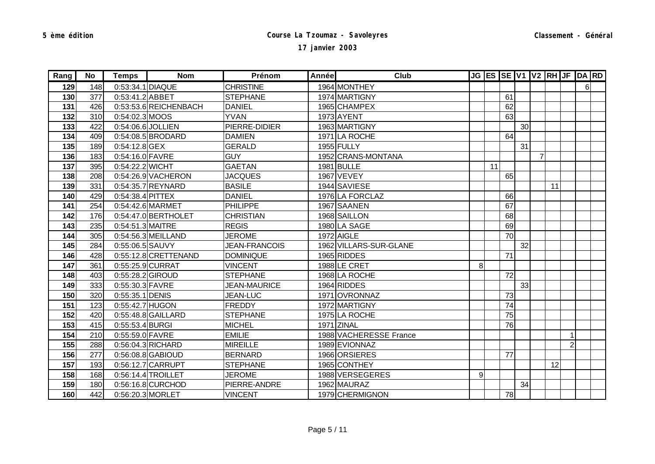| Rang | No  | <b>Temps</b>     | <b>Nom</b>             | Prénom               | <b>Année</b> | Club                   |                  |    |    |    |                |    |                | JG ES SE V1 V2 RH JF DA RD |  |
|------|-----|------------------|------------------------|----------------------|--------------|------------------------|------------------|----|----|----|----------------|----|----------------|----------------------------|--|
| 129  | 148 | 0:53:34.1 DIAQUE |                        | <b>CHRISTINE</b>     |              | 1964 MONTHEY           |                  |    |    |    |                |    |                | $6 \mid$                   |  |
| 130  | 377 | 0:53:41.2 ABBET  |                        | <b>STEPHANE</b>      |              | 1974 MARTIGNY          |                  |    | 61 |    |                |    |                |                            |  |
| 131  | 426 |                  | 0:53:53.6 REICHENBACH  | <b>DANIEL</b>        |              | 1965 CHAMPEX           |                  |    | 62 |    |                |    |                |                            |  |
| 132  | 310 | 0:54:02.3 MOOS   |                        | <b>YVAN</b>          |              | 1973 AYENT             |                  |    | 63 |    |                |    |                |                            |  |
| 133  | 422 |                  | 0:54:06.6 JOLLIEN      | PIERRE-DIDIER        |              | 1963 MARTIGNY          |                  |    |    | 30 |                |    |                |                            |  |
| 134  | 409 |                  | 0:54:08.5 BRODARD      | <b>DAMIEN</b>        |              | 1971 LA ROCHE          |                  |    | 64 |    |                |    |                |                            |  |
| 135  | 189 | $0:54:12.8$ GEX  |                        | <b>GERALD</b>        |              | 1955 FULLY             |                  |    |    | 31 |                |    |                |                            |  |
| 136  | 183 | 0:54:16.0 FAVRE  |                        | <b>GUY</b>           |              | 1952 CRANS-MONTANA     |                  |    |    |    | $\overline{7}$ |    |                |                            |  |
| 137  | 395 | 0:54:22.2 WICHT  |                        | <b>GAETAN</b>        |              | 1981 BULLE             |                  | 11 |    |    |                |    |                |                            |  |
| 138  | 208 |                  | 0:54:26.9 VACHERON     | <b>JACQUES</b>       |              | 1967 VEVEY             |                  |    | 65 |    |                |    |                |                            |  |
| 139  | 331 |                  | 0:54:35.7 REYNARD      | <b>BASILE</b>        |              | 1944 SAVIESE           |                  |    |    |    |                | 11 |                |                            |  |
| 140  | 429 | 0:54:38.4 PITTEX |                        | <b>DANIEL</b>        |              | 1976 LA FORCLAZ        |                  |    | 66 |    |                |    |                |                            |  |
| 141  | 254 |                  | 0:54:42.6 MARMET       | <b>PHILIPPE</b>      |              | 1967 SAANEN            |                  |    | 67 |    |                |    |                |                            |  |
| 142  | 176 |                  | 0:54:47.0 BERTHOLET    | <b>CHRISTIAN</b>     |              | 1968 SAILLON           |                  |    | 68 |    |                |    |                |                            |  |
| 143  | 235 | 0:54:51.3 MAITRE |                        | <b>REGIS</b>         |              | 1980 LA SAGE           |                  |    | 69 |    |                |    |                |                            |  |
| 144  | 305 |                  | $0:54:56.3$ MEILLAND   | <b>JEROME</b>        |              | 1972 AIGLE             |                  |    | 70 |    |                |    |                |                            |  |
| 145  | 284 | 0:55:06.5 SAUVY  |                        | <b>JEAN-FRANCOIS</b> |              | 1962 VILLARS-SUR-GLANE |                  |    |    | 32 |                |    |                |                            |  |
| 146  | 428 |                  | $0:55:12.8$ CRETTENAND | <b>DOMINIQUE</b>     |              | 1965 RIDDES            |                  |    | 71 |    |                |    |                |                            |  |
| 147  | 361 | 0:55:25.9 CURRAT |                        | <b>VINCENT</b>       |              | 1988 LE CRET           | 8                |    |    |    |                |    |                |                            |  |
| 148  | 403 | 0:55:28.2 GIROUD |                        | <b>STEPHANE</b>      |              | 1968 LA ROCHE          |                  |    | 72 |    |                |    |                |                            |  |
| 149  | 333 | 0:55:30.3 FAVRE  |                        | <b>JEAN-MAURICE</b>  |              | 1964 RIDDES            |                  |    |    | 33 |                |    |                |                            |  |
| 150  | 320 | 0:55:35.1 DENIS  |                        | <b>JEAN-LUC</b>      |              | 1971 OVRONNAZ          |                  |    | 73 |    |                |    |                |                            |  |
| 151  | 123 | 0:55:42.7 HUGON  |                        | <b>FREDDY</b>        |              | 1972 MARTIGNY          |                  |    | 74 |    |                |    |                |                            |  |
| 152  | 420 |                  | 0:55:48.8 GAILLARD     | <b>STEPHANE</b>      |              | 1975 LA ROCHE          |                  |    | 75 |    |                |    |                |                            |  |
| 153  | 415 | 0:55:53.4 BURGI  |                        | <b>MICHEL</b>        |              | 1971 ZINAL             |                  |    | 76 |    |                |    |                |                            |  |
| 154  | 210 | 0:55:59.0 FAVRE  |                        | <b>EMILIE</b>        |              | 1988 VACHERESSE France |                  |    |    |    |                |    |                |                            |  |
| 155  | 288 |                  | 0:56:04.3 RICHARD      | <b>MIREILLE</b>      |              | 1989 EVIONNAZ          |                  |    |    |    |                |    | $\overline{2}$ |                            |  |
| 156  | 277 |                  | 0:56:08.8 GABIOUD      | <b>BERNARD</b>       |              | 1966 ORSIERES          |                  |    | 77 |    |                |    |                |                            |  |
| 157  | 193 |                  | 0:56:12.7 CARRUPT      | <b>STEPHANE</b>      |              | 1965 CONTHEY           |                  |    |    |    |                | 12 |                |                            |  |
| 158  | 168 |                  | 0:56:14.4 TROILLET     | <b>JEROME</b>        |              | 1988 VERSEGERES        | $\boldsymbol{9}$ |    |    |    |                |    |                |                            |  |
| 159  | 180 |                  | 0:56:16.8 CURCHOD      | PIERRE-ANDRE         |              | 1962 MAURAZ            |                  |    |    | 34 |                |    |                |                            |  |
| 160  | 442 |                  | 0:56:20.3 MORLET       | <b>VINCENT</b>       |              | 1979 CHERMIGNON        |                  |    | 78 |    |                |    |                |                            |  |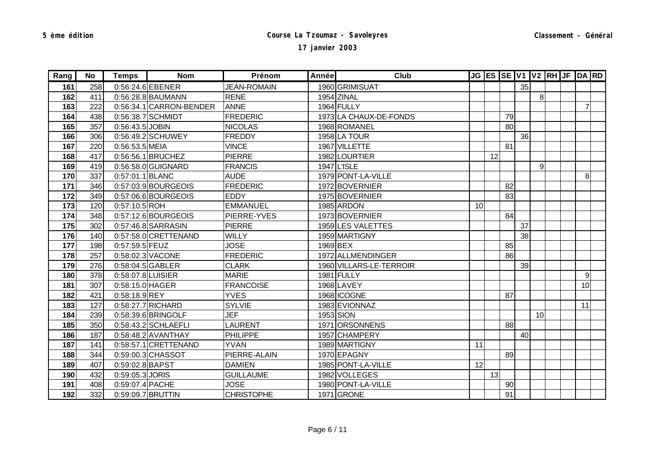| Rang | No  | Temps             | <b>Nom</b>              | Prénom             | Année | Club                    |    |    |    |    |                | JG ES SE V1 V2 RH JF DA RD |                 |  |
|------|-----|-------------------|-------------------------|--------------------|-------|-------------------------|----|----|----|----|----------------|----------------------------|-----------------|--|
| 161  | 258 |                   | 0:56:24.6 EBENER        | <b>JEAN-ROMAIN</b> |       | 1960 GRIMISUAT          |    |    |    | 35 |                |                            |                 |  |
| 162  | 411 |                   | 0:56:28.8 BAUMANN       | <b>RENE</b>        |       | 1954 ZINAL              |    |    |    |    | 8 <sup>1</sup> |                            |                 |  |
| 163  | 222 |                   | 0:56:34.1 CARRON-BENDER | <b>ANNE</b>        |       | 1964 FULLY              |    |    |    |    |                |                            | $\overline{7}$  |  |
| 164  | 438 |                   | 0:56:38.7 SCHMIDT       | <b>FREDERIC</b>    |       | 1973 LA CHAUX-DE-FONDS  |    |    | 79 |    |                |                            |                 |  |
| 165  | 357 | 0:56:43.5 JOBIN   |                         | <b>NICOLAS</b>     |       | 1968 ROMANEL            |    |    | 80 |    |                |                            |                 |  |
| 166  | 306 |                   | 0:56:49.2 SCHUWEY       | <b>FREDDY</b>      |       | 1958 LA TOUR            |    |    |    | 36 |                |                            |                 |  |
| 167  | 220 | 0:56:53.5 MEIA    |                         | <b>VINCE</b>       |       | 1967 VILLETTE           |    |    | 81 |    |                |                            |                 |  |
| 168  | 417 |                   | 0:56:56.1 BRUCHEZ       | <b>PIERRE</b>      |       | 1982 LOURTIER           |    | 12 |    |    |                |                            |                 |  |
| 169  | 419 |                   | 0:56:58.0 GUIGNARD      | <b>FRANCIS</b>     |       | 1947 L'ISLE             |    |    |    |    | $\overline{9}$ |                            |                 |  |
| 170  | 337 | 0:57:01.1 BLANC   |                         | <b>AUDE</b>        |       | 1979 PONT-LA-VILLE      |    |    |    |    |                |                            | 8 <sup>1</sup>  |  |
| 171  | 346 |                   | 0:57:03.9 BOURGEOIS     | <b>FREDERIC</b>    |       | 1972 BOVERNIER          |    |    | 82 |    |                |                            |                 |  |
| 172  | 349 |                   | 0:57:06.6 BOURGEOIS     | <b>EDDY</b>        |       | 1975 BOVERNIER          |    |    | 83 |    |                |                            |                 |  |
| 173  | 120 | 0:57:10.5 ROH     |                         | <b>EMMANUEL</b>    |       | 1985 ARDON              | 10 |    |    |    |                |                            |                 |  |
| 174  | 348 |                   | 0:57:12.6 BOURGEOIS     | PIERRE-YVES        |       | 1973 BOVERNIER          |    |    | 84 |    |                |                            |                 |  |
| 175  | 302 |                   | 0:57:46.8 SARRASIN      | <b>PIERRE</b>      |       | 1959 LES VALETTES       |    |    |    | 37 |                |                            |                 |  |
| 176  | 140 |                   | 0:57:58.0 CRETTENAND    | <b>WILLY</b>       |       | 1959 MARTIGNY           |    |    |    | 38 |                |                            |                 |  |
| 177  | 198 | 0:57:59.5 FEUZ    |                         | <b>JOSE</b>        |       | 1969 BEX                |    |    | 85 |    |                |                            |                 |  |
| 178  | 257 |                   | 0:58:02.3 VACONE        | <b>FREDERIC</b>    |       | 1972 ALLMENDINGER       |    |    | 86 |    |                |                            |                 |  |
| 179  | 276 |                   | 0:58:04.5 GABLER        | <b>CLARK</b>       |       | 1960 VILLARS-LE-TERROIR |    |    |    | 39 |                |                            |                 |  |
| 180  | 378 | 0:58:07.8 LUISIER |                         | <b>MARIE</b>       |       | 1981 FULLY              |    |    |    |    |                |                            | 9               |  |
| 181  | 307 | 0:58:15.0 HAGER   |                         | <b>FRANCOISE</b>   |       | 1968 LAVEY              |    |    |    |    |                |                            | 10 <sup>1</sup> |  |
| 182  | 421 | 0:58:18.9 REY     |                         | <b>YVES</b>        |       | 1968 ICOGNE             |    |    | 87 |    |                |                            |                 |  |
| 183  | 127 |                   | 0:58:27.7 RICHARD       | <b>SYLVIE</b>      |       | 1983 EVIONNAZ           |    |    |    |    |                |                            | 11              |  |
| 184  | 239 |                   | 0:58:39.6 BRINGOLF      | <b>JEF</b>         |       | 1953 SION               |    |    |    |    | 10             |                            |                 |  |
| 185  | 350 |                   | 0:58:43.2 SCHLAEFLI     | <b>LAURENT</b>     |       | 1971 ORSONNENS          |    |    | 88 |    |                |                            |                 |  |
| 186  | 187 |                   | 0:58:48.2 AVANTHAY      | <b>PHILIPPE</b>    |       | 1957 CHAMPERY           |    |    |    | 40 |                |                            |                 |  |
| 187  | 141 |                   | 0:58:57.1 CRETTENAND    | <b>YVAN</b>        |       | 1989 MARTIGNY           | 11 |    |    |    |                |                            |                 |  |
| 188  | 344 |                   | 0:59:00.3 CHASSOT       | PIERRE-ALAIN       |       | 1970 EPAGNY             |    |    | 89 |    |                |                            |                 |  |
| 189  | 407 | 0:59:02.8 BAPST   |                         | <b>DAMIEN</b>      |       | 1985 PONT-LA-VILLE      | 12 |    |    |    |                |                            |                 |  |
| 190  | 432 | 0:59:05.3 JORIS   |                         | <b>GUILLAUME</b>   |       | 1982 VOLLEGES           |    | 13 |    |    |                |                            |                 |  |
| 191  | 408 | 0:59:07.4 PACHE   |                         | <b>JOSE</b>        |       | 1980 PONT-LA-VILLE      |    |    | 90 |    |                |                            |                 |  |
| 192  | 332 |                   | 0:59:09.7 BRUTTIN       | <b>CHRISTOPHE</b>  |       | 1971 GRONE              |    |    | 91 |    |                |                            |                 |  |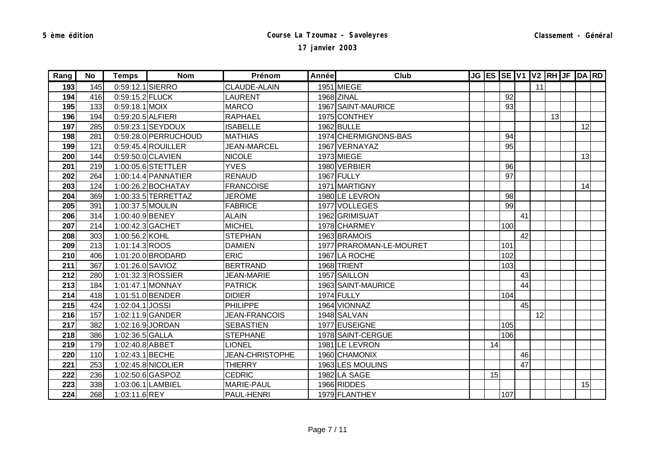| Rang | No  | <b>Temps</b>      | <b>Nom</b>            | Prénom                 | Année | Club                    |    |     |    |    |    | JG ES SE V1 V2 RH JF DA RD |    |  |
|------|-----|-------------------|-----------------------|------------------------|-------|-------------------------|----|-----|----|----|----|----------------------------|----|--|
| 193  | 145 | 0:59:12.1 SIERRO  |                       | <b>CLAUDE-ALAIN</b>    |       | 1951 MIEGE              |    |     |    | 11 |    |                            |    |  |
| 194  | 416 | 0:59:15.2 FLUCK   |                       | <b>LAURENT</b>         |       | 1968 ZINAL              |    | 92  |    |    |    |                            |    |  |
| 195  | 133 | 0:59:18.1 MOIX    |                       | <b>MARCO</b>           |       | 1967 SAINT-MAURICE      |    | 93  |    |    |    |                            |    |  |
| 196  | 194 | 0:59:20.5 ALFIERI |                       | <b>RAPHAEL</b>         |       | 1975 CONTHEY            |    |     |    |    | 13 |                            |    |  |
| 197  | 285 |                   | 0:59:23.1 SEYDOUX     | <b>ISABELLE</b>        |       | 1962 BULLE              |    |     |    |    |    |                            | 12 |  |
| 198  | 281 |                   | 0:59:28.0 PERRUCHOUD  | <b>MATHIAS</b>         |       | 1974 CHERMIGNONS-BAS    |    | 94  |    |    |    |                            |    |  |
| 199  | 121 |                   | 0:59:45.4 ROUILLER    | <b>JEAN-MARCEL</b>     |       | 1967 VERNAYAZ           |    | 95  |    |    |    |                            |    |  |
| 200  | 144 |                   | 0:59:50.0 CLAVIEN     | <b>NICOLE</b>          |       | 1973 MIEGE              |    |     |    |    |    |                            | 13 |  |
| 201  | 219 |                   | 1:00:05.6 STETTLER    | <b>YVES</b>            |       | 1980 VERBIER            |    | 96  |    |    |    |                            |    |  |
| 202  | 264 |                   | $1:00:14.4$ PANNATIER | <b>RENAUD</b>          |       | 1967 FULLY              |    | 97  |    |    |    |                            |    |  |
| 203  | 124 |                   | 1:00:26.2 BOCHATAY    | <b>FRANCOISE</b>       |       | 1971 MARTIGNY           |    |     |    |    |    |                            | 14 |  |
| 204  | 369 |                   | 1:00:33.5 TERRETTAZ   | <b>JEROME</b>          |       | 1980 LE LEVRON          |    | 98  |    |    |    |                            |    |  |
| 205  | 391 | 1:00:37.5 MOULIN  |                       | <b>FABRICE</b>         |       | 1977 VOLLEGES           |    | 99  |    |    |    |                            |    |  |
| 206  | 314 | 1:00:40.9 BENEY   |                       | <b>ALAIN</b>           |       | 1962 GRIMISUAT          |    |     | 41 |    |    |                            |    |  |
| 207  | 214 |                   | 1:00:42.3 GACHET      | <b>MICHEL</b>          |       | 1978 CHARMEY            |    | 100 |    |    |    |                            |    |  |
| 208  | 303 | 1:00:56.2 KOHL    |                       | <b>STEPHAN</b>         |       | 1963 BRAMOIS            |    |     | 42 |    |    |                            |    |  |
| 209  | 213 | 1:01:14.3 ROOS    |                       | <b>DAMIEN</b>          |       | 1977 PRAROMAN-LE-MOURET |    | 101 |    |    |    |                            |    |  |
| 210  | 406 |                   | 1:01:20.0 BRODARD     | <b>ERIC</b>            |       | 1967 LA ROCHE           |    | 102 |    |    |    |                            |    |  |
| 211  | 367 | 1:01:26.0 SAVIOZ  |                       | <b>BERTRAND</b>        |       | 1968 TRIENT             |    | 103 |    |    |    |                            |    |  |
| 212  | 280 |                   | 1:01:32.3 ROSSIER     | <b>JEAN-MARIE</b>      |       | 1957 SAILLON            |    |     | 43 |    |    |                            |    |  |
| 213  | 184 |                   | 1:01:47.1 MONNAY      | <b>PATRICK</b>         |       | 1963 SAINT-MAURICE      |    |     | 44 |    |    |                            |    |  |
| 214  | 418 |                   | 1:01:51.0 BENDER      | <b>DIDIER</b>          |       | 1974 FULLY              |    | 104 |    |    |    |                            |    |  |
| 215  | 424 | 1:02:04.1 JOSSI   |                       | <b>PHILIPPE</b>        |       | 1964 VIONNAZ            |    |     | 45 |    |    |                            |    |  |
| 216  | 157 |                   | 1:02:11.9 GANDER      | <b>JEAN-FRANCOIS</b>   |       | 1948 SALVAN             |    |     |    | 12 |    |                            |    |  |
| 217  | 382 |                   | 1:02:16.9 JORDAN      | <b>SEBASTIEN</b>       |       | 1977 EUSEIGNE           |    | 105 |    |    |    |                            |    |  |
| 218  | 386 | 1:02:36.5 GALLA   |                       | <b>STEPHANE</b>        |       | 1978 SAINT-CERGUE       |    | 106 |    |    |    |                            |    |  |
| 219  | 179 | 1:02:40.8 ABBET   |                       | <b>LIONEL</b>          |       | 1981 LE LEVRON          | 14 |     |    |    |    |                            |    |  |
| 220  | 110 | 1:02:43.1 BECHE   |                       | <b>JEAN-CHRISTOPHE</b> |       | 1960 CHAMONIX           |    |     | 46 |    |    |                            |    |  |
| 221  | 253 |                   | 1:02:45.8 NICOLIER    | <b>THIERRY</b>         |       | 1963 LES MOULINS        |    |     | 47 |    |    |                            |    |  |
| 222  | 236 |                   | 1:02:50.6 GASPOZ      | <b>CEDRIC</b>          |       | 1982 LA SAGE            | 15 |     |    |    |    |                            |    |  |
| 223  | 338 |                   | 1:03:06.1 LAMBIEL     | <b>MARIE-PAUL</b>      |       | 1966 RIDDES             |    |     |    |    |    |                            | 15 |  |
| 224  | 268 | 1:03:11.6 REY     |                       | PAUL-HENRI             |       | 1979 FLANTHEY           |    | 107 |    |    |    |                            |    |  |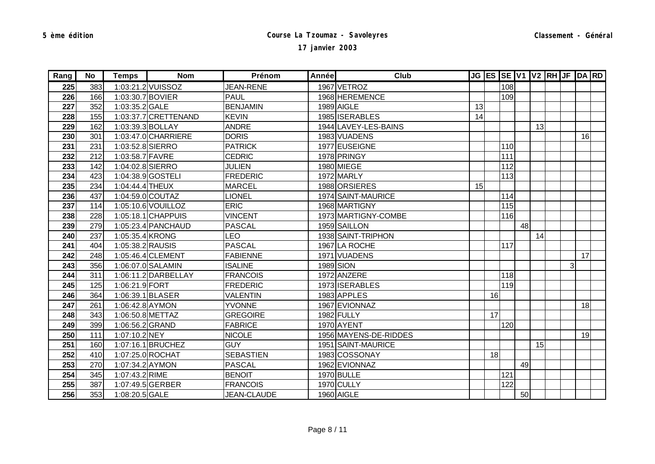| Rang | No  | <b>Temps</b>     | <b>Nom</b>           | Prénom             | Année | Club                  |    |    |     |    |    | JG ES SE V1 V2 RH JF DA RD |    |  |
|------|-----|------------------|----------------------|--------------------|-------|-----------------------|----|----|-----|----|----|----------------------------|----|--|
| 225  | 383 |                  | 1:03:21.2 VUISSOZ    | <b>JEAN-RENE</b>   |       | 1967 VETROZ           |    |    | 108 |    |    |                            |    |  |
| 226  | 166 | 1:03:30.7 BOVIER |                      | <b>PAUL</b>        |       | 1968 HEREMENCE        |    |    | 109 |    |    |                            |    |  |
| 227  | 352 | 1:03:35.2 GALE   |                      | <b>BENJAMIN</b>    |       | 1989 AIGLE            | 13 |    |     |    |    |                            |    |  |
| 228  | 155 |                  | 1:03:37.7 CRETTENAND | <b>KEVIN</b>       |       | 1985 ISERABLES        | 14 |    |     |    |    |                            |    |  |
| 229  | 162 | 1:03:39.3 BOLLAY |                      | <b>ANDRE</b>       |       | 1944 LAVEY-LES-BAINS  |    |    |     |    | 13 |                            |    |  |
| 230  | 301 |                  | 1:03:47.0 CHARRIERE  | <b>DORIS</b>       |       | 1983 VUADENS          |    |    |     |    |    |                            | 16 |  |
| 231  | 231 | 1:03:52.8 SIERRO |                      | <b>PATRICK</b>     |       | 1977 EUSEIGNE         |    |    | 110 |    |    |                            |    |  |
| 232  | 212 | 1:03:58.7 FAVRE  |                      | <b>CEDRIC</b>      |       | 1978 PRINGY           |    |    | 111 |    |    |                            |    |  |
| 233  | 142 | 1:04:02.8 SIERRO |                      | <b>JULIEN</b>      |       | 1980 MIEGE            |    |    | 112 |    |    |                            |    |  |
| 234  | 423 |                  | 1:04:38.9 GOSTELI    | <b>FREDERIC</b>    |       | 1972 MARLY            |    |    | 113 |    |    |                            |    |  |
| 235  | 234 | 1:04:44.4 THEUX  |                      | <b>MARCEL</b>      |       | 1988 ORSIERES         | 15 |    |     |    |    |                            |    |  |
| 236  | 437 |                  | 1:04:59.0 COUTAZ     | <b>LIONEL</b>      |       | 1974 SAINT-MAURICE    |    |    | 114 |    |    |                            |    |  |
| 237  | 114 |                  | 1:05:10.6 VOUILLOZ   | <b>ERIC</b>        |       | 1968 MARTIGNY         |    |    | 115 |    |    |                            |    |  |
| 238  | 228 |                  | $1:05:18.1$ CHAPPUIS | <b>VINCENT</b>     |       | 1973 MARTIGNY-COMBE   |    |    | 116 |    |    |                            |    |  |
| 239  | 279 |                  | 1:05:23.4 PANCHAUD   | <b>PASCAL</b>      |       | 1959 SAILLON          |    |    |     | 48 |    |                            |    |  |
| 240  | 237 | 1:05:35.4 KRONG  |                      | <b>LEO</b>         |       | 1938 SAINT-TRIPHON    |    |    |     |    | 14 |                            |    |  |
| 241  | 404 | 1:05:38.2 RAUSIS |                      | <b>PASCAL</b>      |       | 1967 LA ROCHE         |    |    | 117 |    |    |                            |    |  |
| 242  | 248 |                  | 1:05:46.4 CLEMENT    | <b>FABIENNE</b>    |       | 1971 VUADENS          |    |    |     |    |    |                            | 17 |  |
| 243  | 356 |                  | 1:06:07.0 SALAMIN    | <b>ISALINE</b>     |       | 1989 SION             |    |    |     |    |    | 3 <sup>1</sup>             |    |  |
| 244  | 311 |                  | 1:06:11.2 DARBELLAY  | <b>FRANCOIS</b>    |       | 1972 ANZERE           |    |    | 118 |    |    |                            |    |  |
| 245  | 125 | 1:06:21.9 FORT   |                      | <b>FREDERIC</b>    |       | 1973 ISERABLES        |    |    | 119 |    |    |                            |    |  |
| 246  | 364 |                  | 1:06:39.1 BLASER     | <b>VALENTIN</b>    |       | 1983 APPLES           |    | 16 |     |    |    |                            |    |  |
| 247  | 261 | 1:06:42.8 AYMON  |                      | <b>YVONNE</b>      |       | 1967 EVIONNAZ         |    |    |     |    |    |                            | 18 |  |
| 248  | 343 |                  | 1:06:50.8 METTAZ     | <b>GREGOIRE</b>    |       | 1982 FULLY            |    | 17 |     |    |    |                            |    |  |
| 249  | 399 | 1:06:56.2 GRAND  |                      | <b>FABRICE</b>     |       | 1970 AYENT            |    |    | 120 |    |    |                            |    |  |
| 250  | 111 | 1:07:10.2 NEY    |                      | <b>NICOLE</b>      |       | 1956 MAYENS-DE-RIDDES |    |    |     |    |    |                            | 19 |  |
| 251  | 160 |                  | 1:07:16.1 BRUCHEZ    | <b>GUY</b>         |       | 1951 SAINT-MAURICE    |    |    |     |    | 15 |                            |    |  |
| 252  | 410 |                  | 1:07:25.0 ROCHAT     | <b>SEBASTIEN</b>   |       | 1983 COSSONAY         |    | 18 |     |    |    |                            |    |  |
| 253  | 270 | 1:07:34.2 AYMON  |                      | <b>PASCAL</b>      |       | 1962 EVIONNAZ         |    |    |     | 49 |    |                            |    |  |
| 254  | 345 | 1:07:43.2 RIME   |                      | <b>BENOIT</b>      |       | 1970 BULLE            |    |    | 121 |    |    |                            |    |  |
| 255  | 387 |                  | 1:07:49.5 GERBER     | <b>FRANCOIS</b>    |       | 1970 CULLY            |    |    | 122 |    |    |                            |    |  |
| 256  | 353 | 1:08:20.5 GALE   |                      | <b>JEAN-CLAUDE</b> |       | 1960 AIGLE            |    |    |     | 50 |    |                            |    |  |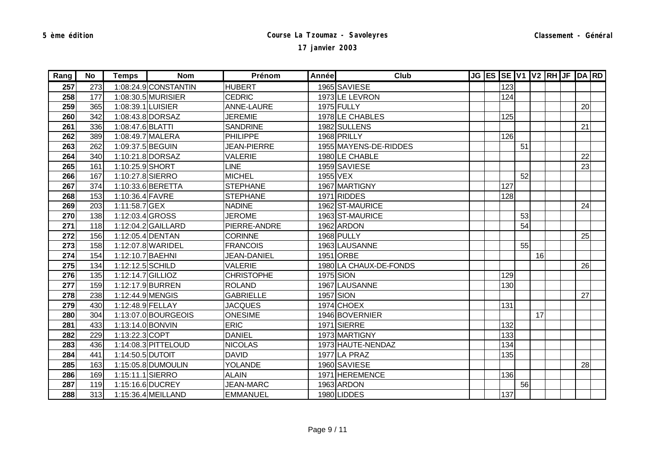| Rang | <b>No</b> | <b>Temps</b>      | <b>Nom</b>           | Prénom             | Année | Club                   |  |     |    |    | JG ES SE V1 V2 RH JF DA RD |    |  |
|------|-----------|-------------------|----------------------|--------------------|-------|------------------------|--|-----|----|----|----------------------------|----|--|
| 257  | 273       |                   | 1:08:24.9 CONSTANTIN | <b>HUBERT</b>      |       | 1965 SAVIESE           |  | 123 |    |    |                            |    |  |
| 258  | 177       |                   | 1:08:30.5 MURISIER   | <b>CEDRIC</b>      |       | 1973LE LEVRON          |  | 124 |    |    |                            |    |  |
| 259  | 365       | 1:08:39.1 LUISIER |                      | ANNE-LAURE         |       | 1975 FULLY             |  |     |    |    |                            | 20 |  |
| 260  | 342       |                   | 1:08:43.8 DORSAZ     | <b>JEREMIE</b>     |       | 1978 LE CHABLES        |  | 125 |    |    |                            |    |  |
| 261  | 336       | 1:08:47.6 BLATTI  |                      | <b>SANDRINE</b>    |       | 1982 SULLENS           |  |     |    |    |                            | 21 |  |
| 262  | 389       |                   | 1:08:49.7 MALERA     | <b>PHILIPPE</b>    |       | 1968 PRILLY            |  | 126 |    |    |                            |    |  |
| 263  | 262       | 1:09:37.5 BEGUIN  |                      | <b>JEAN-PIERRE</b> |       | 1955 MAYENS-DE-RIDDES  |  |     | 51 |    |                            |    |  |
| 264  | 340       |                   | 1:10:21.8 DORSAZ     | <b>VALERIE</b>     |       | 1980 LE CHABLE         |  |     |    |    |                            | 22 |  |
| 265  | 161       | 1:10:25.9 SHORT   |                      | <b>LINE</b>        |       | 1959 SAVIESE           |  |     |    |    |                            | 23 |  |
| 266  | 167       | 1:10:27.8 SIERRO  |                      | <b>MICHEL</b>      |       | 1955 VEX               |  |     | 52 |    |                            |    |  |
| 267  | 374       |                   | 1:10:33.6 BERETTA    | <b>STEPHANE</b>    |       | 1967 MARTIGNY          |  | 127 |    |    |                            |    |  |
| 268  | 153       | 1:10:36.4 FAVRE   |                      | <b>STEPHANE</b>    |       | 1971 RIDDES            |  | 128 |    |    |                            |    |  |
| 269  | 203       | 1:11:58.7 GEX     |                      | <b>NADINE</b>      |       | 1962 ST-MAURICE        |  |     |    |    |                            | 24 |  |
| 270  | 138       | 1:12:03.4 GROSS   |                      | <b>JEROME</b>      |       | 1963 ST-MAURICE        |  |     | 53 |    |                            |    |  |
| 271  | 118       |                   | 1:12:04.2 GAILLARD   | PIERRE-ANDRE       |       | 1962 ARDON             |  |     | 54 |    |                            |    |  |
| 272  | 156       |                   | 1:12:05.4 DENTAN     | <b>CORINNE</b>     |       | 1968 PULLY             |  |     |    |    |                            | 25 |  |
| 273  | 158       |                   | 1:12:07.8 WARIDEL    | <b>FRANCOIS</b>    |       | 1963 LAUSANNE          |  |     | 55 |    |                            |    |  |
| 274  | 154       | 1:12:10.7 BAEHNI  |                      | <b>JEAN-DANIEL</b> |       | 1951 ORBE              |  |     |    | 16 |                            |    |  |
| 275  | 134       | 1:12:12.5 SCHILD  |                      | <b>VALERIE</b>     |       | 1980 LA CHAUX-DE-FONDS |  |     |    |    |                            | 26 |  |
| 276  | 135       | 1:12:14.7 GILLIOZ |                      | <b>CHRISTOPHE</b>  |       | 1975 SION              |  | 129 |    |    |                            |    |  |
| 277  | 159       |                   | 1:12:17.9 BURREN     | <b>ROLAND</b>      |       | 1967 LAUSANNE          |  | 130 |    |    |                            |    |  |
| 278  | 238       | 1:12:44.9 MENGIS  |                      | <b>GABRIELLE</b>   |       | 1957 SION              |  |     |    |    |                            | 27 |  |
| 279  | 430       | 1:12:48.9 FELLAY  |                      | <b>JACQUES</b>     |       | 1974 CHOEX             |  | 131 |    |    |                            |    |  |
| 280  | 304       |                   | 1:13:07.0 BOURGEOIS  | <b>ONESIME</b>     |       | 1946 BOVERNIER         |  |     |    | 17 |                            |    |  |
| 281  | 433       | 1:13:14.0 BONVIN  |                      | <b>ERIC</b>        |       | 1971 SIERRE            |  | 132 |    |    |                            |    |  |
| 282  | 229       | 1:13:22.3 COPT    |                      | <b>DANIEL</b>      |       | 1973 MARTIGNY          |  | 133 |    |    |                            |    |  |
| 283  | 436       |                   | 1:14:08.3 PITTELOUD  | <b>NICOLAS</b>     |       | 1973 HAUTE-NENDAZ      |  | 134 |    |    |                            |    |  |
| 284  | 441       | 1:14:50.5 DUTOIT  |                      | <b>DAVID</b>       |       | 1977 LA PRAZ           |  | 135 |    |    |                            |    |  |
| 285  | 163       |                   | 1:15:05.8 DUMOULIN   | <b>YOLANDE</b>     |       | 1960 SAVIESE           |  |     |    |    |                            | 28 |  |
| 286  | 169       | 1:15:11.1 SIERRO  |                      | <b>ALAIN</b>       |       | 1971 HEREMENCE         |  | 136 |    |    |                            |    |  |
| 287  | 119       |                   | 1:15:16.6 DUCREY     | <b>JEAN-MARC</b>   |       | 1963 ARDON             |  |     | 56 |    |                            |    |  |
| 288  | 313       |                   | 1:15:36.4 MEILLAND   | <b>EMMANUEL</b>    |       | 1980 LIDDES            |  | 137 |    |    |                            |    |  |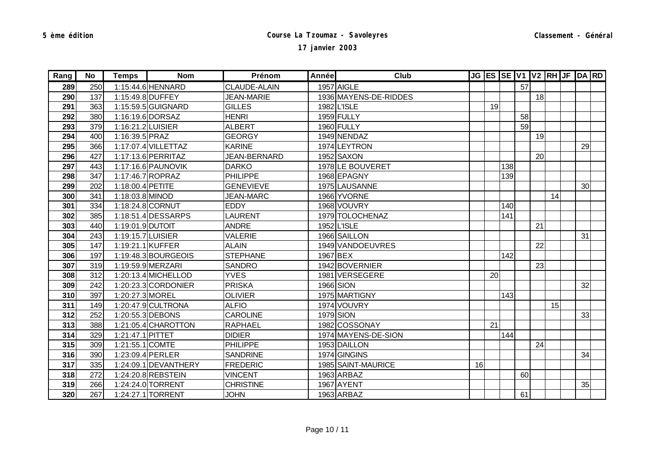| Rang | No  | <b>Temps</b>      | <b>Nom</b>           | Prénom            | Année | Club                  |    |    |     |    |    |    | JG ES SE V1 V2 RH JF DA RD |    |  |
|------|-----|-------------------|----------------------|-------------------|-------|-----------------------|----|----|-----|----|----|----|----------------------------|----|--|
| 289  | 250 |                   | 1:15:44.6 HENNARD    | CLAUDE-ALAIN      |       | 1957 AIGLE            |    |    |     | 57 |    |    |                            |    |  |
| 290  | 137 |                   | 1:15:49.8 DUFFEY     | <b>JEAN-MARIE</b> |       | 1936 MAYENS-DE-RIDDES |    |    |     |    | 18 |    |                            |    |  |
| 291  | 363 |                   | 1:15:59.5 GUIGNARD   | <b>GILLES</b>     |       | 1982 L'ISLE           |    | 19 |     |    |    |    |                            |    |  |
| 292  | 380 |                   | 1:16:19.6 DORSAZ     | <b>HENRI</b>      |       | 1959 FULLY            |    |    |     | 58 |    |    |                            |    |  |
| 293  | 379 | 1:16:21.2 LUISIER |                      | <b>ALBERT</b>     |       | 1960 FULLY            |    |    |     | 59 |    |    |                            |    |  |
| 294  | 400 | 1:16:39.5 PRAZ    |                      | <b>GEORGY</b>     |       | 1949 NENDAZ           |    |    |     |    | 19 |    |                            |    |  |
| 295  | 366 |                   | 1:17:07.4 VILLETTAZ  | <b>KARINE</b>     |       | 1974 LEYTRON          |    |    |     |    |    |    |                            | 29 |  |
| 296  | 427 |                   | 1:17:13.6 PERRITAZ   | JEAN-BERNARD      |       | 1952 SAXON            |    |    |     |    | 20 |    |                            |    |  |
| 297  | 443 |                   | 1:17:16.6 PAUNOVIK   | <b>DARKO</b>      |       | 1978LE BOUVERET       |    |    | 138 |    |    |    |                            |    |  |
| 298  | 347 |                   | 1:17:46.7 ROPRAZ     | <b>PHILIPPE</b>   |       | 1968 EPAGNY           |    |    | 139 |    |    |    |                            |    |  |
| 299  | 202 | 1:18:00.4 PETITE  |                      | <b>GENEVIEVE</b>  |       | 1975 LAUSANNE         |    |    |     |    |    |    |                            | 30 |  |
| 300  | 341 | 1:18:03.8 MINOD   |                      | <b>JEAN-MARC</b>  |       | 1966 YVORNE           |    |    |     |    |    | 14 |                            |    |  |
| 301  | 334 |                   | 1:18:24.8 CORNUT     | <b>EDDY</b>       |       | 1968 VOUVRY           |    |    | 140 |    |    |    |                            |    |  |
| 302  | 385 |                   | 1:18:51.4 DESSARPS   | <b>LAURENT</b>    |       | 1979 TOLOCHENAZ       |    |    | 141 |    |    |    |                            |    |  |
| 303  | 440 | 1:19:01.9 DUTOIT  |                      | <b>ANDRE</b>      |       | 1952 L'ISLE           |    |    |     |    | 21 |    |                            |    |  |
| 304  | 243 | 1:19:15.7 LUISIER |                      | <b>VALERIE</b>    |       | 1966 SAILLON          |    |    |     |    |    |    |                            | 31 |  |
| 305  | 147 |                   | 1:19:21.1 KUFFER     | <b>ALAIN</b>      |       | 1949 VANDOEUVRES      |    |    |     |    | 22 |    |                            |    |  |
| 306  | 197 |                   | 1:19:48.3 BOURGEOIS  | <b>STEPHANE</b>   |       | 1967 BEX              |    |    | 142 |    |    |    |                            |    |  |
| 307  | 319 |                   | 1:19:59.9 MERZARI    | <b>SANDRO</b>     |       | 1942 BOVERNIER        |    |    |     |    | 23 |    |                            |    |  |
| 308  | 312 |                   | 1:20:13.4 MICHELLOD  | <b>YVES</b>       |       | 1981 VERSEGERE        |    | 20 |     |    |    |    |                            |    |  |
| 309  | 242 |                   | 1:20:23.3 CORDONIER  | <b>PRISKA</b>     |       | 1966 SION             |    |    |     |    |    |    |                            | 32 |  |
| 310  | 397 | 1:20:27.3 MOREL   |                      | <b>OLIVIER</b>    |       | 1975 MARTIGNY         |    |    | 143 |    |    |    |                            |    |  |
| 311  | 149 |                   | 1:20:47.9 CULTRONA   | <b>ALFIO</b>      |       | 1974 VOUVRY           |    |    |     |    |    | 15 |                            |    |  |
| 312  | 252 |                   | 1:20:55.3 DEBONS     | <b>CAROLINE</b>   |       | 1979 SION             |    |    |     |    |    |    |                            | 33 |  |
| 313  | 388 |                   | 1:21:05.4 CHAROTTON  | <b>RAPHAEL</b>    |       | 1982 COSSONAY         |    | 21 |     |    |    |    |                            |    |  |
| 314  | 329 | 1:21:47.1 PITTET  |                      | <b>DIDIER</b>     |       | 1974 MAYENS-DE-SION   |    |    | 144 |    |    |    |                            |    |  |
| 315  | 309 | 1:21:55.1 COMTE   |                      | <b>PHILIPPE</b>   |       | 1953 DAILLON          |    |    |     |    | 24 |    |                            |    |  |
| 316  | 390 |                   | 1:23:09.4 PERLER     | <b>SANDRINE</b>   |       | 1974 GINGINS          |    |    |     |    |    |    |                            | 34 |  |
| 317  | 335 |                   | 1:24:09.1 DEVANTHERY | <b>FREDERIC</b>   |       | 1985 SAINT-MAURICE    | 16 |    |     |    |    |    |                            |    |  |
| 318  | 272 |                   | 1:24:20.8 REBSTEIN   | <b>VINCENT</b>    |       | 1963 ARBAZ            |    |    |     | 60 |    |    |                            |    |  |
| 319  | 266 |                   | 1:24:24.0 TORRENT    | <b>CHRISTINE</b>  |       | 1967 AYENT            |    |    |     |    |    |    |                            | 35 |  |
| 320  | 267 |                   | 1:24:27.1 TORRENT    | <b>JOHN</b>       |       | 1963 ARBAZ            |    |    |     | 61 |    |    |                            |    |  |